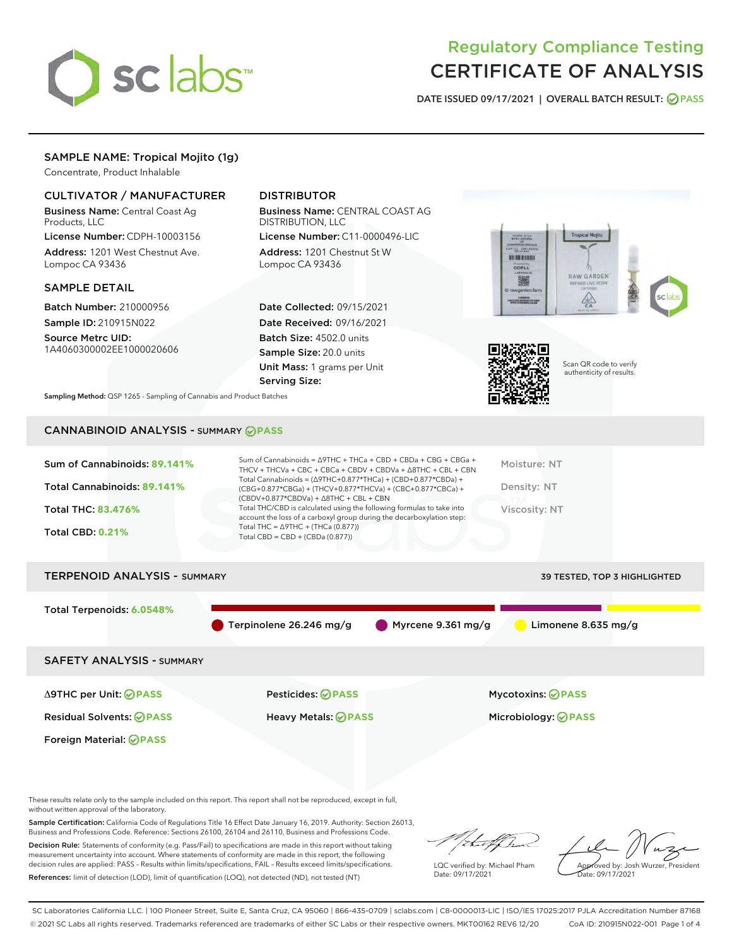

## Regulatory Compliance Testing CERTIFICATE OF ANALYSIS

DATE ISSUED 09/17/2021 | OVERALL BATCH RESULT: @ PASS

## SAMPLE NAME: Tropical Mojito (1g)

Concentrate, Product Inhalable

#### CULTIVATOR / MANUFACTURER

Business Name: Central Coast Ag Products, LLC

License Number: CDPH-10003156 Address: 1201 West Chestnut Ave. Lompoc CA 93436

#### SAMPLE DETAIL

Batch Number: 210000956 Sample ID: 210915N022

Source Metrc UID: 1A4060300002EE1000020606

## DISTRIBUTOR

Business Name: CENTRAL COAST AG DISTRIBUTION, LLC

License Number: C11-0000496-LIC Address: 1201 Chestnut St W Lompoc CA 93436

Date Collected: 09/15/2021 Date Received: 09/16/2021 Batch Size: 4502.0 units Sample Size: 20.0 units Unit Mass: 1 grams per Unit Serving Size:





Scan QR code to verify authenticity of results.

Sampling Method: QSP 1265 - Sampling of Cannabis and Product Batches

## CANNABINOID ANALYSIS - SUMMARY **PASS**

| Sum of Cannabinoids: 89.141% | Sum of Cannabinoids = $\triangle$ 9THC + THCa + CBD + CBDa + CBG + CBGa +<br>THCV + THCVa + CBC + CBCa + CBDV + CBDVa + $\Delta$ 8THC + CBL + CBN                                    | Moisture: NT  |
|------------------------------|--------------------------------------------------------------------------------------------------------------------------------------------------------------------------------------|---------------|
| Total Cannabinoids: 89.141%  | Total Cannabinoids = $(\Delta$ 9THC+0.877*THCa) + (CBD+0.877*CBDa) +<br>(CBG+0.877*CBGa) + (THCV+0.877*THCVa) + (CBC+0.877*CBCa) +<br>$(CBDV+0.877*CBDVa) + \Delta 8THC + CBL + CBN$ | Density: NT   |
| <b>Total THC: 83.476%</b>    | Total THC/CBD is calculated using the following formulas to take into<br>account the loss of a carboxyl group during the decarboxylation step:                                       | Viscosity: NT |
| <b>Total CBD: 0.21%</b>      | Total THC = $\triangle$ 9THC + (THCa (0.877))<br>Total CBD = $CBD + (CBDa (0.877))$                                                                                                  |               |
|                              |                                                                                                                                                                                      |               |

# TERPENOID ANALYSIS - SUMMARY 39 TESTED, TOP 3 HIGHLIGHTED Total Terpenoids: **6.0548%** Terpinolene 26.246 mg/g Myrcene 9.361 mg/g Limonene 8.635 mg/g SAFETY ANALYSIS - SUMMARY Δ9THC per Unit: **PASS** Pesticides: **PASS** Mycotoxins: **PASS**

Foreign Material: **PASS**

Residual Solvents: **PASS** Heavy Metals: **PASS** Microbiology: **PASS**

These results relate only to the sample included on this report. This report shall not be reproduced, except in full, without written approval of the laboratory.

Sample Certification: California Code of Regulations Title 16 Effect Date January 16, 2019. Authority: Section 26013, Business and Professions Code. Reference: Sections 26100, 26104 and 26110, Business and Professions Code.

Decision Rule: Statements of conformity (e.g. Pass/Fail) to specifications are made in this report without taking measurement uncertainty into account. Where statements of conformity are made in this report, the following decision rules are applied: PASS – Results within limits/specifications, FAIL – Results exceed limits/specifications. References: limit of detection (LOD), limit of quantification (LOQ), not detected (ND), not tested (NT)

that f Tr

LQC verified by: Michael Pham Date: 09/17/2021

Approved by: Josh Wurzer, President ate: 09/17/2021

SC Laboratories California LLC. | 100 Pioneer Street, Suite E, Santa Cruz, CA 95060 | 866-435-0709 | sclabs.com | C8-0000013-LIC | ISO/IES 17025:2017 PJLA Accreditation Number 87168 © 2021 SC Labs all rights reserved. Trademarks referenced are trademarks of either SC Labs or their respective owners. MKT00162 REV6 12/20 CoA ID: 210915N022-001 Page 1 of 4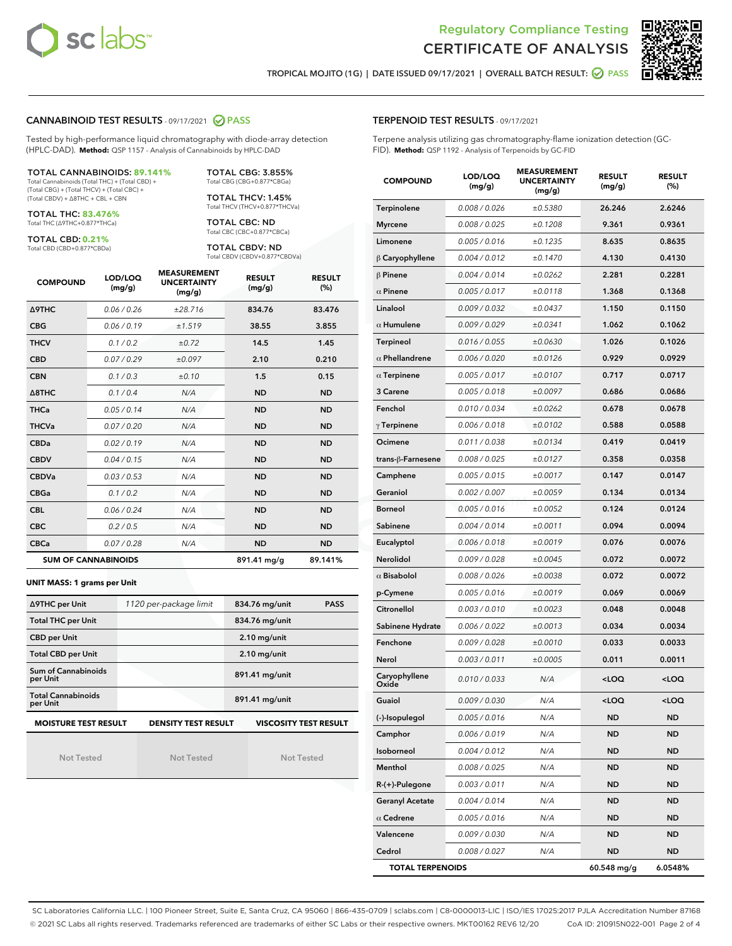



TROPICAL MOJITO (1G) | DATE ISSUED 09/17/2021 | OVERALL BATCH RESULT: **⊘** PASS

#### CANNABINOID TEST RESULTS - 09/17/2021 2 PASS

Tested by high-performance liquid chromatography with diode-array detection (HPLC-DAD). **Method:** QSP 1157 - Analysis of Cannabinoids by HPLC-DAD

#### TOTAL CANNABINOIDS: **89.141%**

Total Cannabinoids (Total THC) + (Total CBD) + (Total CBG) + (Total THCV) + (Total CBC) + (Total CBDV) + ∆8THC + CBL + CBN

TOTAL THC: **83.476%** Total THC (∆9THC+0.877\*THCa)

TOTAL CBD: **0.21%**

Total CBD (CBD+0.877\*CBDa)

TOTAL CBG: 3.855% Total CBG (CBG+0.877\*CBGa)

TOTAL THCV: 1.45% Total THCV (THCV+0.877\*THCVa)

TOTAL CBC: ND Total CBC (CBC+0.877\*CBCa)

TOTAL CBDV: ND Total CBDV (CBDV+0.877\*CBDVa)

| <b>COMPOUND</b>            | LOD/LOQ<br>(mg/g) | <b>MEASUREMENT</b><br><b>UNCERTAINTY</b><br>(mg/g) | <b>RESULT</b><br>(mg/g) | <b>RESULT</b><br>(%) |
|----------------------------|-------------------|----------------------------------------------------|-------------------------|----------------------|
| <b>A9THC</b>               | 0.06 / 0.26       | ±28.716                                            | 834.76                  | 83.476               |
| <b>CBG</b>                 | 0.06 / 0.19       | ±1.519                                             | 38.55                   | 3.855                |
| <b>THCV</b>                | 0.1 / 0.2         | ±0.72                                              | 14.5                    | 1.45                 |
| <b>CBD</b>                 | 0.07/0.29         | ±0.097                                             | 2.10                    | 0.210                |
| <b>CBN</b>                 | 0.1/0.3           | ±0.10                                              | 1.5                     | 0.15                 |
| $\triangle$ 8THC           | 0.1/0.4           | N/A                                                | <b>ND</b>               | <b>ND</b>            |
| <b>THCa</b>                | 0.05/0.14         | N/A                                                | <b>ND</b>               | <b>ND</b>            |
| <b>THCVa</b>               | 0.07/0.20         | N/A                                                | <b>ND</b>               | <b>ND</b>            |
| <b>CBDa</b>                | 0.02/0.19         | N/A                                                | <b>ND</b>               | <b>ND</b>            |
| <b>CBDV</b>                | 0.04 / 0.15       | N/A                                                | <b>ND</b>               | <b>ND</b>            |
| <b>CBDVa</b>               | 0.03/0.53         | N/A                                                | <b>ND</b>               | <b>ND</b>            |
| <b>CBGa</b>                | 0.1/0.2           | N/A                                                | <b>ND</b>               | <b>ND</b>            |
| <b>CBL</b>                 | 0.06 / 0.24       | N/A                                                | <b>ND</b>               | <b>ND</b>            |
| <b>CBC</b>                 | 0.2 / 0.5         | N/A                                                | <b>ND</b>               | <b>ND</b>            |
| <b>CBCa</b>                | 0.07/0.28         | N/A                                                | <b>ND</b>               | <b>ND</b>            |
| <b>SUM OF CANNABINOIDS</b> |                   |                                                    | 891.41 mg/g             | 89.141%              |

#### **UNIT MASS: 1 grams per Unit**

| ∆9THC per Unit                                                                            | 1120 per-package limit | <b>PASS</b><br>834.76 mg/unit |  |  |  |
|-------------------------------------------------------------------------------------------|------------------------|-------------------------------|--|--|--|
| <b>Total THC per Unit</b>                                                                 |                        | 834.76 mg/unit                |  |  |  |
| <b>CBD per Unit</b>                                                                       |                        | $2.10$ mg/unit                |  |  |  |
| <b>Total CBD per Unit</b>                                                                 |                        | $2.10$ mg/unit                |  |  |  |
| Sum of Cannabinoids<br>per Unit                                                           |                        | 891.41 mg/unit                |  |  |  |
| <b>Total Cannabinoids</b><br>per Unit                                                     |                        | 891.41 mg/unit                |  |  |  |
| <b>MOISTURE TEST RESULT</b><br><b>DENSITY TEST RESULT</b><br><b>VISCOSITY TEST RESULT</b> |                        |                               |  |  |  |

Not Tested

Not Tested

Not Tested

#### TERPENOID TEST RESULTS - 09/17/2021

Terpene analysis utilizing gas chromatography-flame ionization detection (GC-FID). **Method:** QSP 1192 - Analysis of Terpenoids by GC-FID

| <b>COMPOUND</b>         | LOD/LOQ<br>(mg/g) | <b>MEASUREMENT</b><br><b>UNCERTAINTY</b><br>(mg/g) | <b>RESULT</b><br>(mg/g)                         | <b>RESULT</b><br>$(\%)$ |
|-------------------------|-------------------|----------------------------------------------------|-------------------------------------------------|-------------------------|
| Terpinolene             | 0.008 / 0.026     | ±0.5380                                            | 26.246                                          | 2.6246                  |
| <b>Myrcene</b>          | 0.008 / 0.025     | ±0.1208                                            | 9.361                                           | 0.9361                  |
| Limonene                | 0.005 / 0.016     | ±0.1235                                            | 8.635                                           | 0.8635                  |
| $\beta$ Caryophyllene   | 0.004 / 0.012     | ±0.1470                                            | 4.130                                           | 0.4130                  |
| $\beta$ Pinene          | 0.004 / 0.014     | ±0.0262                                            | 2.281                                           | 0.2281                  |
| $\alpha$ Pinene         | 0.005 / 0.017     | ±0.0118                                            | 1.368                                           | 0.1368                  |
| Linalool                | 0.009 / 0.032     | ±0.0437                                            | 1.150                                           | 0.1150                  |
| $\alpha$ Humulene       | 0.009 / 0.029     | ±0.0341                                            | 1.062                                           | 0.1062                  |
| <b>Terpineol</b>        | 0.016 / 0.055     | ±0.0630                                            | 1.026                                           | 0.1026                  |
| $\alpha$ Phellandrene   | 0.006 / 0.020     | ±0.0126                                            | 0.929                                           | 0.0929                  |
| $\alpha$ Terpinene      | 0.005 / 0.017     | ±0.0107                                            | 0.717                                           | 0.0717                  |
| 3 Carene                | 0.005 / 0.018     | ±0.0097                                            | 0.686                                           | 0.0686                  |
| Fenchol                 | 0.010 / 0.034     | ±0.0262                                            | 0.678                                           | 0.0678                  |
| $\gamma$ Terpinene      | 0.006 / 0.018     | ±0.0102                                            | 0.588                                           | 0.0588                  |
| Ocimene                 | 0.011 / 0.038     | ±0.0134                                            | 0.419                                           | 0.0419                  |
| trans-ß-Farnesene       | 0.008 / 0.025     | ±0.0127                                            | 0.358                                           | 0.0358                  |
| Camphene                | 0.005 / 0.015     | ±0.0017                                            | 0.147                                           | 0.0147                  |
| Geraniol                | 0.002 / 0.007     | ±0.0059                                            | 0.134                                           | 0.0134                  |
| <b>Borneol</b>          | 0.005 / 0.016     | ±0.0052                                            | 0.124                                           | 0.0124                  |
| Sabinene                | 0.004 / 0.014     | ±0.0011                                            | 0.094                                           | 0.0094                  |
| Eucalyptol              | 0.006 / 0.018     | ±0.0019                                            | 0.076                                           | 0.0076                  |
| Nerolidol               | 0.009 / 0.028     | ±0.0045                                            | 0.072                                           | 0.0072                  |
| $\alpha$ Bisabolol      | 0.008 / 0.026     | ±0.0038                                            | 0.072                                           | 0.0072                  |
| p-Cymene                | 0.005 / 0.016     | ±0.0019                                            | 0.069                                           | 0.0069                  |
| Citronellol             | 0.003 / 0.010     | ±0.0023                                            | 0.048                                           | 0.0048                  |
| Sabinene Hydrate        | 0.006 / 0.022     | ±0.0013                                            | 0.034                                           | 0.0034                  |
| Fenchone                | 0.009 / 0.028     | ±0.0010                                            | 0.033                                           | 0.0033                  |
| Nerol                   | 0.003 / 0.011     | ±0.0005                                            | 0.011                                           | 0.0011                  |
| Caryophyllene<br>Oxide  | 0.010 / 0.033     | N/A                                                | <loq< th=""><th><loq< th=""></loq<></th></loq<> | <loq< th=""></loq<>     |
| Guaiol                  | 0.009 / 0.030     | N/A                                                | <loq< th=""><th><loq< th=""></loq<></th></loq<> | <loq< th=""></loq<>     |
| (-)-Isopulegol          | 0.005 / 0.016     | N/A                                                | ND                                              | ND                      |
| Camphor                 | 0.006 / 0.019     | N/A                                                | ND                                              | <b>ND</b>               |
| Isoborneol              | 0.004 / 0.012     | N/A                                                | ND                                              | <b>ND</b>               |
| Menthol                 | 0.008 / 0.025     | N/A                                                | ND                                              | <b>ND</b>               |
| $R-(+)$ -Pulegone       | 0.003 / 0.011     | N/A                                                | ND                                              | ND                      |
| <b>Geranyl Acetate</b>  | 0.004 / 0.014     | N/A                                                | ND                                              | <b>ND</b>               |
| $\alpha$ Cedrene        | 0.005 / 0.016     | N/A                                                | ND                                              | <b>ND</b>               |
| Valencene               | 0.009 / 0.030     | N/A                                                | ND                                              | ND                      |
| Cedrol                  | 0.008 / 0.027     | N/A                                                | <b>ND</b>                                       | <b>ND</b>               |
| <b>TOTAL TERPENOIDS</b> |                   |                                                    | 60.548 mg/g                                     | 6.0548%                 |

SC Laboratories California LLC. | 100 Pioneer Street, Suite E, Santa Cruz, CA 95060 | 866-435-0709 | sclabs.com | C8-0000013-LIC | ISO/IES 17025:2017 PJLA Accreditation Number 87168 © 2021 SC Labs all rights reserved. Trademarks referenced are trademarks of either SC Labs or their respective owners. MKT00162 REV6 12/20 CoA ID: 210915N022-001 Page 2 of 4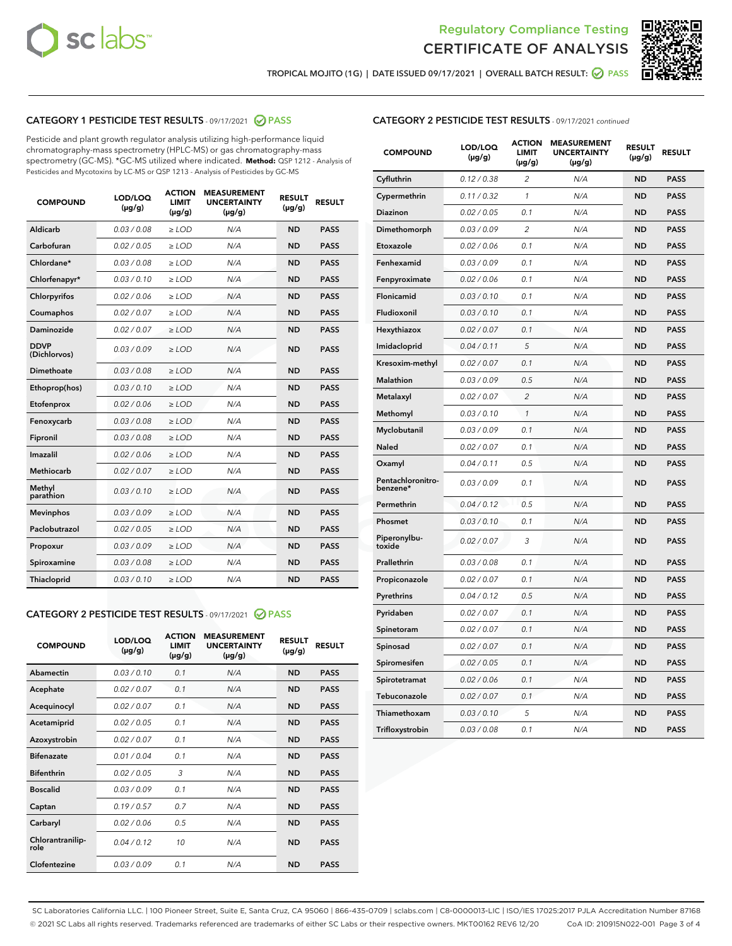



TROPICAL MOJITO (1G) | DATE ISSUED 09/17/2021 | OVERALL BATCH RESULT: @ PASS

## CATEGORY 1 PESTICIDE TEST RESULTS - 09/17/2021 2 PASS

Pesticide and plant growth regulator analysis utilizing high-performance liquid chromatography-mass spectrometry (HPLC-MS) or gas chromatography-mass spectrometry (GC-MS). \*GC-MS utilized where indicated. **Method:** QSP 1212 - Analysis of Pesticides and Mycotoxins by LC-MS or QSP 1213 - Analysis of Pesticides by GC-MS

| <b>COMPOUND</b>             | LOD/LOQ<br>$(\mu g/g)$ | <b>ACTION</b><br><b>LIMIT</b><br>$(\mu g/g)$ | <b>MEASUREMENT</b><br><b>UNCERTAINTY</b><br>$(\mu g/g)$ | <b>RESULT</b><br>$(\mu g/g)$ | <b>RESULT</b> |
|-----------------------------|------------------------|----------------------------------------------|---------------------------------------------------------|------------------------------|---------------|
| Aldicarb                    | 0.03/0.08              | $>$ LOD                                      | N/A                                                     | <b>ND</b>                    | <b>PASS</b>   |
| Carbofuran                  | 0.02 / 0.05            | $\geq$ LOD                                   | N/A                                                     | <b>ND</b>                    | <b>PASS</b>   |
| Chlordane*                  | 0.03/0.08              | $>$ LOD                                      | N/A                                                     | <b>ND</b>                    | <b>PASS</b>   |
| Chlorfenapyr*               | 0.03/0.10              | $\geq$ LOD                                   | N/A                                                     | <b>ND</b>                    | <b>PASS</b>   |
| Chlorpyrifos                | 0.02 / 0.06            | $\geq$ LOD                                   | N/A                                                     | <b>ND</b>                    | <b>PASS</b>   |
| Coumaphos                   | 0.02 / 0.07            | $\ge$ LOD                                    | N/A                                                     | <b>ND</b>                    | <b>PASS</b>   |
| Daminozide                  | 0.02 / 0.07            | $\ge$ LOD                                    | N/A                                                     | <b>ND</b>                    | <b>PASS</b>   |
| <b>DDVP</b><br>(Dichlorvos) | 0.03/0.09              | $\ge$ LOD                                    | N/A                                                     | <b>ND</b>                    | <b>PASS</b>   |
| <b>Dimethoate</b>           | 0.03/0.08              | $\ge$ LOD                                    | N/A                                                     | <b>ND</b>                    | <b>PASS</b>   |
| Ethoprop(hos)               | 0.03/0.10              | $\ge$ LOD                                    | N/A                                                     | <b>ND</b>                    | <b>PASS</b>   |
| Etofenprox                  | 0.02 / 0.06            | $\ge$ LOD                                    | N/A                                                     | <b>ND</b>                    | <b>PASS</b>   |
| Fenoxycarb                  | 0.03/0.08              | $\ge$ LOD                                    | N/A                                                     | <b>ND</b>                    | <b>PASS</b>   |
| Fipronil                    | 0.03/0.08              | $>$ LOD                                      | N/A                                                     | <b>ND</b>                    | <b>PASS</b>   |
| Imazalil                    | 0.02 / 0.06            | $>$ LOD                                      | N/A                                                     | <b>ND</b>                    | <b>PASS</b>   |
| <b>Methiocarb</b>           | 0.02 / 0.07            | $\ge$ LOD                                    | N/A                                                     | <b>ND</b>                    | <b>PASS</b>   |
| Methyl<br>parathion         | 0.03/0.10              | $\ge$ LOD                                    | N/A                                                     | <b>ND</b>                    | <b>PASS</b>   |
| <b>Mevinphos</b>            | 0.03/0.09              | $\ge$ LOD                                    | N/A                                                     | <b>ND</b>                    | <b>PASS</b>   |
| Paclobutrazol               | 0.02 / 0.05            | $>$ LOD                                      | N/A                                                     | <b>ND</b>                    | <b>PASS</b>   |
| Propoxur                    | 0.03/0.09              | $\ge$ LOD                                    | N/A                                                     | <b>ND</b>                    | <b>PASS</b>   |
| Spiroxamine                 | 0.03 / 0.08            | $\ge$ LOD                                    | N/A                                                     | <b>ND</b>                    | <b>PASS</b>   |
| Thiacloprid                 | 0.03/0.10              | $\ge$ LOD                                    | N/A                                                     | <b>ND</b>                    | <b>PASS</b>   |
|                             |                        |                                              |                                                         |                              |               |

#### CATEGORY 2 PESTICIDE TEST RESULTS - 09/17/2021 @ PASS

| <b>COMPOUND</b>          | LOD/LOO<br>$(\mu g/g)$ | <b>ACTION</b><br>LIMIT<br>$(\mu g/g)$ | <b>MEASUREMENT</b><br><b>UNCERTAINTY</b><br>$(\mu g/g)$ | <b>RESULT</b><br>$(\mu g/g)$ | <b>RESULT</b> |  |
|--------------------------|------------------------|---------------------------------------|---------------------------------------------------------|------------------------------|---------------|--|
| Abamectin                | 0.03/0.10              | 0.1                                   | N/A                                                     | <b>ND</b>                    | <b>PASS</b>   |  |
| Acephate                 | 0.02/0.07              | 0.1                                   | N/A                                                     | <b>ND</b>                    | <b>PASS</b>   |  |
| Acequinocyl              | 0.02/0.07              | 0.1                                   | N/A                                                     | <b>ND</b>                    | <b>PASS</b>   |  |
| Acetamiprid              | 0.02 / 0.05            | 0.1                                   | N/A                                                     | <b>ND</b>                    | <b>PASS</b>   |  |
| Azoxystrobin             | 0.02/0.07              | 0.1                                   | N/A                                                     | <b>ND</b>                    | <b>PASS</b>   |  |
| <b>Bifenazate</b>        | 0.01 / 0.04            | 0.1                                   | N/A                                                     | <b>ND</b>                    | <b>PASS</b>   |  |
| <b>Bifenthrin</b>        | 0.02 / 0.05            | 3                                     | N/A                                                     | <b>ND</b>                    | <b>PASS</b>   |  |
| <b>Boscalid</b>          | 0.03/0.09              | 0.1                                   | N/A                                                     | <b>ND</b>                    | <b>PASS</b>   |  |
| Captan                   | 0.19/0.57              | 0.7                                   | N/A                                                     | <b>ND</b>                    | <b>PASS</b>   |  |
| Carbaryl                 | 0.02/0.06              | 0.5                                   | N/A                                                     | <b>ND</b>                    | <b>PASS</b>   |  |
| Chlorantranilip-<br>role | 0.04/0.12              | 10                                    | N/A                                                     | <b>ND</b>                    | <b>PASS</b>   |  |
| Clofentezine             | 0.03/0.09              | 0.1                                   | N/A                                                     | <b>ND</b>                    | <b>PASS</b>   |  |

| <b>CATEGORY 2 PESTICIDE TEST RESULTS</b> - 09/17/2021 continued |  |
|-----------------------------------------------------------------|--|
|                                                                 |  |

| <b>COMPOUND</b>               | LOD/LOQ<br>(µg/g) | <b>ACTION</b><br><b>LIMIT</b><br>$(\mu g/g)$ | <b>MEASUREMENT</b><br><b>UNCERTAINTY</b><br>$(\mu g/g)$ | <b>RESULT</b><br>(µg/g) | <b>RESULT</b> |
|-------------------------------|-------------------|----------------------------------------------|---------------------------------------------------------|-------------------------|---------------|
| Cyfluthrin                    | 0.12 / 0.38       | $\overline{2}$                               | N/A                                                     | <b>ND</b>               | <b>PASS</b>   |
| Cypermethrin                  | 0.11 / 0.32       | $\mathbf{1}$                                 | N/A                                                     | <b>ND</b>               | <b>PASS</b>   |
| Diazinon                      | 0.02 / 0.05       | 0.1                                          | N/A                                                     | <b>ND</b>               | <b>PASS</b>   |
| Dimethomorph                  | 0.03 / 0.09       | $\overline{2}$                               | N/A                                                     | <b>ND</b>               | <b>PASS</b>   |
| Etoxazole                     | 0.02 / 0.06       | 0.1                                          | N/A                                                     | ND                      | <b>PASS</b>   |
| Fenhexamid                    | 0.03 / 0.09       | 0.1                                          | N/A                                                     | ND                      | <b>PASS</b>   |
| Fenpyroximate                 | 0.02 / 0.06       | 0.1                                          | N/A                                                     | <b>ND</b>               | <b>PASS</b>   |
| Flonicamid                    | 0.03 / 0.10       | 0.1                                          | N/A                                                     | <b>ND</b>               | <b>PASS</b>   |
| Fludioxonil                   | 0.03 / 0.10       | 0.1                                          | N/A                                                     | <b>ND</b>               | <b>PASS</b>   |
| Hexythiazox                   | 0.02 / 0.07       | 0.1                                          | N/A                                                     | ND                      | <b>PASS</b>   |
| Imidacloprid                  | 0.04 / 0.11       | 5                                            | N/A                                                     | <b>ND</b>               | <b>PASS</b>   |
| Kresoxim-methyl               | 0.02 / 0.07       | 0.1                                          | N/A                                                     | ND                      | <b>PASS</b>   |
| <b>Malathion</b>              | 0.03 / 0.09       | 0.5                                          | N/A                                                     | <b>ND</b>               | <b>PASS</b>   |
| Metalaxyl                     | 0.02 / 0.07       | $\overline{2}$                               | N/A                                                     | <b>ND</b>               | <b>PASS</b>   |
| Methomyl                      | 0.03 / 0.10       | $\mathbf{1}$                                 | N/A                                                     | <b>ND</b>               | <b>PASS</b>   |
| Myclobutanil                  | 0.03 / 0.09       | 0.1                                          | N/A                                                     | <b>ND</b>               | <b>PASS</b>   |
| Naled                         | 0.02 / 0.07       | 0.1                                          | N/A                                                     | ND                      | <b>PASS</b>   |
| Oxamyl                        | 0.04 / 0.11       | 0.5                                          | N/A                                                     | ND                      | <b>PASS</b>   |
| Pentachloronitro-<br>benzene* | 0.03 / 0.09       | 0.1                                          | N/A                                                     | <b>ND</b>               | <b>PASS</b>   |
| Permethrin                    | 0.04 / 0.12       | 0.5                                          | N/A                                                     | ND                      | <b>PASS</b>   |
| Phosmet                       | 0.03 / 0.10       | 0.1                                          | N/A                                                     | <b>ND</b>               | <b>PASS</b>   |
| Piperonylbu-<br>toxide        | 0.02 / 0.07       | 3                                            | N/A                                                     | <b>ND</b>               | <b>PASS</b>   |
| Prallethrin                   | 0.03 / 0.08       | 0.1                                          | N/A                                                     | <b>ND</b>               | <b>PASS</b>   |
| Propiconazole                 | 0.02 / 0.07       | 0.1                                          | N/A                                                     | <b>ND</b>               | <b>PASS</b>   |
| Pyrethrins                    | 0.04 / 0.12       | 0.5                                          | N/A                                                     | ND                      | <b>PASS</b>   |
| Pyridaben                     | 0.02 / 0.07       | 0.1                                          | N/A                                                     | ND                      | <b>PASS</b>   |
| Spinetoram                    | 0.02 / 0.07       | 0.1                                          | N/A                                                     | <b>ND</b>               | <b>PASS</b>   |
| Spinosad                      | 0.02 / 0.07       | 0.1                                          | N/A                                                     | ND                      | <b>PASS</b>   |
| Spiromesifen                  | 0.02 / 0.05       | 0.1                                          | N/A                                                     | ND                      | <b>PASS</b>   |
| Spirotetramat                 | 0.02 / 0.06       | 0.1                                          | N/A                                                     | <b>ND</b>               | <b>PASS</b>   |
| Tebuconazole                  | 0.02 / 0.07       | 0.1                                          | N/A                                                     | ND                      | <b>PASS</b>   |
| Thiamethoxam                  | 0.03 / 0.10       | 5                                            | N/A                                                     | <b>ND</b>               | <b>PASS</b>   |
| Trifloxystrobin               | 0.03 / 0.08       | 0.1                                          | N/A                                                     | <b>ND</b>               | <b>PASS</b>   |

SC Laboratories California LLC. | 100 Pioneer Street, Suite E, Santa Cruz, CA 95060 | 866-435-0709 | sclabs.com | C8-0000013-LIC | ISO/IES 17025:2017 PJLA Accreditation Number 87168 © 2021 SC Labs all rights reserved. Trademarks referenced are trademarks of either SC Labs or their respective owners. MKT00162 REV6 12/20 CoA ID: 210915N022-001 Page 3 of 4